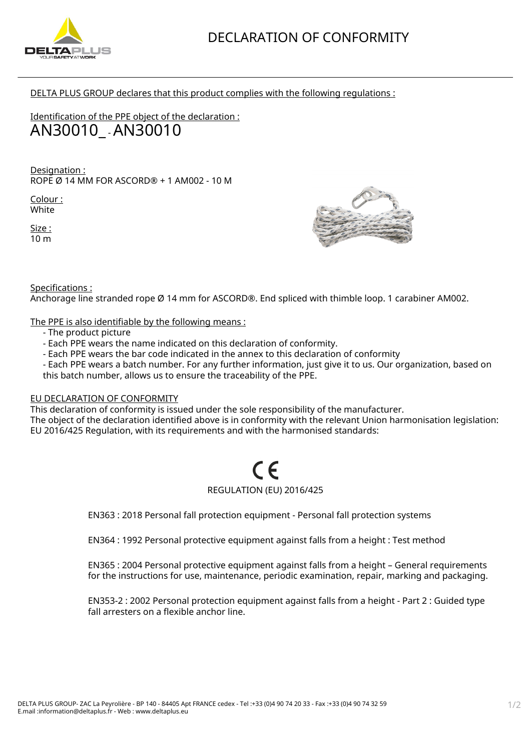

DELTA PLUS GROUP declares that this product complies with the following regulations :

Identification of the PPE object of the declaration : AN30010\_ - AN30010

Designation : ROPE Ø 14 MM FOR ASCORD® + 1 AM002 - 10 M

Colour : White

Size : 10 m



Specifications :

Anchorage line stranded rope Ø 14 mm for ASCORD®. End spliced with thimble loop. 1 carabiner AM002.

The PPE is also identifiable by the following means :

- The product picture
- Each PPE wears the name indicated on this declaration of conformity.
- Each PPE wears the bar code indicated in the annex to this declaration of conformity
- Each PPE wears a batch number. For any further information, just give it to us. Our organization, based on this batch number, allows us to ensure the traceability of the PPE.

## EU DECLARATION OF CONFORMITY

This declaration of conformity is issued under the sole responsibility of the manufacturer. The object of the declaration identified above is in conformity with the relevant Union harmonisation legislation: EU 2016/425 Regulation, with its requirements and with the harmonised standards:

## REGULATION (EU) 2016/425

EN363 : 2018 Personal fall protection equipment - Personal fall protection systems

EN364 : 1992 Personal protective equipment against falls from a height : Test method

EN365 : 2004 Personal protective equipment against falls from a height – General requirements for the instructions for use, maintenance, periodic examination, repair, marking and packaging.

EN353-2 : 2002 Personal protection equipment against falls from a height - Part 2 : Guided type fall arresters on a flexible anchor line.